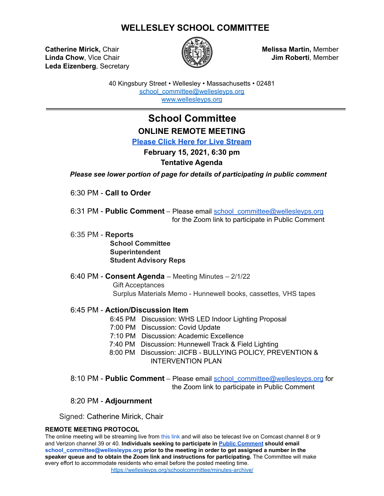### **WELLESLEY SCHOOL COMMITTEE**

**Catherine Mirick,** Chair **Melissa Martin,** Member **Linda Chow**, Vice Chair **Juma Jim Roberti**, Member **Leda Eizenberg**, Secretary



40 Kingsbury Street • Wellesley • Massachusetts • 02481 [school\\_committee@wellesleyps.org](mailto:school_committee@wellesleyps.org) [www.wellesleyps.org](http://www.wellesleyps.org)

# **School Committee ONLINE REMOTE MEETING**

**[Please Click Here for Live Stream](https://www.wellesleymedia.org/live-streaming.html)**

# **February 15, 2021, 6:30 pm**

#### **Tentative Agenda**

*Please see lower portion of page for details of participating in public comment*

6:30 PM - **Call to Order**

6:31 PM - **Public Comment** – Please email school\_committee@wellesleyps.org for the Zoom link to participate in Public Comment

- 6:35 PM **Reports School Committee Superintendent Student Advisory Reps**
- 6:40 PM **Consent Agenda** Meeting Minutes 2/1/22 Gift Acceptances Surplus Materials Memo - Hunnewell books, cassettes, VHS tapes

#### 6:45 PM - **Action/Discussion Item**

- 6:45 PM Discussion: WHS LED Indoor Lighting Proposal
- 7:00 PM Discussion: Covid Update
- 7:10 PM Discussion: Academic Excellence
- 7:40 PM Discussion: Hunnewell Track & Field Lighting
- 8:00 PM Discussion: JICFB BULLYING POLICY, PREVENTION & INTERVENTION PLAN
- 8:10 PM **Public Comment** Please email [school\\_committee@wellesleyps.org](mailto:school_committee@wellesleyps.org) for the Zoom link to participate in Public Comment

#### 8:20 PM - **Adjournment**

Signed: Catherine Mirick, Chair

#### **REMOTE MEETING PROTOCOL**

The online meeting will be streaming live from this link and will also be telecast live on Comcast channel 8 or 9 and Verizon channel 39 or 40. **Individuals seeking to participate in [Public Comment](https://z2policy.ctspublish.com/masc/browse/wellesleyset/wellesley/BEDH) should email school\_committee@wellesleyps.org prior to the meeting in order to get assigned a number in the speaker queue and to obtain the Zoom link and instructions for participating.** The Committee will make every effort to accommodate residents who email before the posted meeting time. https://wellesleyps.org/schoolcommittee/minutes-archive/